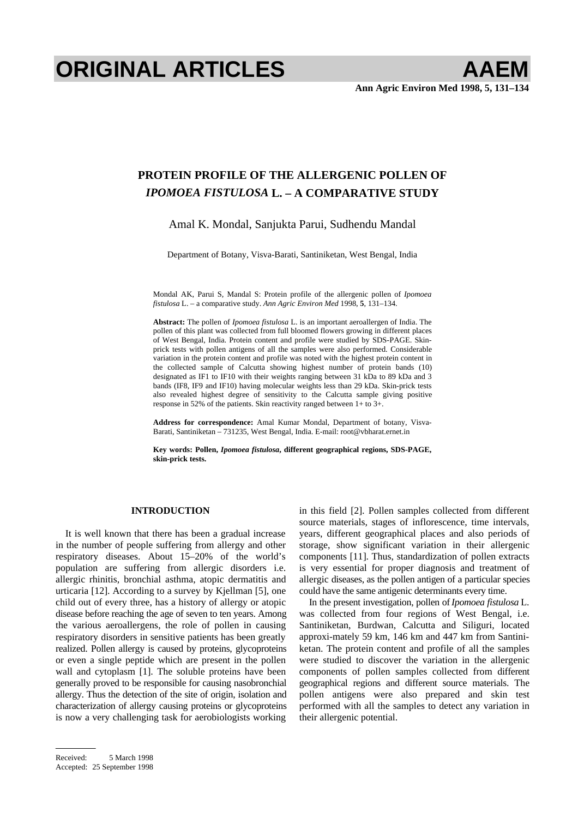# **ORIGINAL ARTICLES AAEM**

# **PROTEIN PROFILE OF THE ALLERGENIC POLLEN OF**  *IPOMOEA FISTULOSA* **L. – A COMPARATIVE STUDY**

## Amal K. Mondal, Sanjukta Parui, Sudhendu Mandal

Department of Botany, Visva-Barati, Santiniketan, West Bengal, India

Mondal AK, Parui S, Mandal S: Protein profile of the allergenic pollen of *Ipomoea fistulosa* L. – a comparative study. *Ann Agric Environ Med* 1998, **5**, 131–134.

**Abstract:** The pollen of *Ipomoea fistulosa* L. is an important aeroallergen of India. The pollen of this plant was collected from full bloomed flowers growing in different places of West Bengal, India. Protein content and profile were studied by SDS-PAGE. Skinprick tests with pollen antigens of all the samples were also performed. Considerable variation in the protein content and profile was noted with the highest protein content in the collected sample of Calcutta showing highest number of protein bands (10) designated as IF1 to IF10 with their weights ranging between 31 kDa to 89 kDa and 3 bands (IF8, IF9 and IF10) having molecular weights less than 29 kDa. Skin-prick tests also revealed highest degree of sensitivity to the Calcutta sample giving positive response in 52% of the patients. Skin reactivity ranged between 1+ to 3+.

**Address for correspondence:** Amal Kumar Mondal, Department of botany, Visva-Barati, Santiniketan – 731235, West Bengal, India. E-mail: [root@vbharat.ernet.in](mailto:root@vbharat.ernet.in) 

**Key words: Pollen,** *Ipomoea fistulosa***, different geographical regions, SDS-PAGE, skin-prick tests.** 

### **INTRODUCTION**

It is well known that there has been a gradual increase in the number of people suffering from allergy and other respiratory diseases. About 15–20% of the world's population are suffering from allergic disorders i.e. allergic rhinitis, bronchial asthma, atopic dermatitis and urticaria [12]. According to a survey by Kjellman [5], one child out of every three, has a history of allergy or atopic disease before reaching the age of seven to ten years. Among the various aeroallergens, the role of pollen in causing respiratory disorders in sensitive patients has been greatly realized. Pollen allergy is caused by proteins, glycoproteins or even a single peptide which are present in the pollen wall and cytoplasm [1]. The soluble proteins have been generally proved to be responsible for causing nasobronchial allergy. Thus the detection of the site of origin, isolation and characterization of allergy causing proteins or glycoproteins is now a very challenging task for aerobiologists working

was collected from four regions of West Bengal, i.e. Santiniketan, Burdwan, Calcutta and Siliguri, located approxi-mately 59 km, 146 km and 447 km from Santiniketan. The protein content and profile of all the samples were studied to discover the variation in the allergenic components of pollen samples collected from different geographical regions and different source materials. The pollen antigens were also prepared and skin test performed with all the samples to detect any variation in their allergenic potential.

in this field [2]. Pollen samples collected from different source materials, stages of inflorescence, time intervals, years, different geographical places and also periods of storage, show significant variation in their allergenic components [11]. Thus, standardization of pollen extracts is very essential for proper diagnosis and treatment of allergic diseases, as the pollen antigen of a particular species could have the same antigenic determinants every time. In the present investigation, pollen of *Ipomoea fistulosa* L.

Received: 5 March 1998 Accepted: 25 September 1998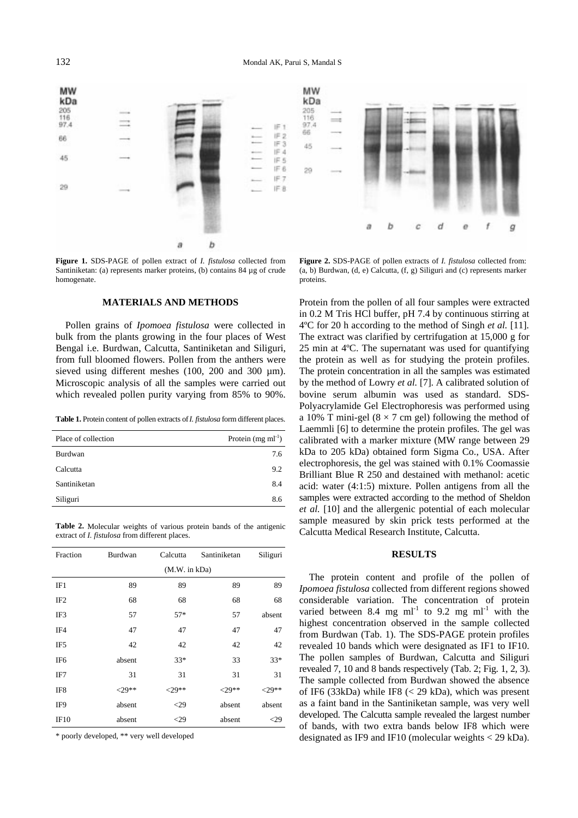**MW** MW kDa kDa 205  $205$ 116 116  $97.4$ 97.4 睛 66  $IF2$ 66 IF<sub>3</sub> 45 IE A 45 序作 IF 6 29 IE 7 29 IF 8 f b c d ė ġ b a

**Figure 1.** SDS-PAGE of pollen extract of *I. fistulosa* collected from Santiniketan: (a) represents marker proteins, (b) contains 84 µg of crude homogenate.

#### **MATERIALS AND METHODS**

Pollen grains of *Ipomoea fistulosa* were collected in bulk from the plants growing in the four places of West Bengal i.e. Burdwan, Calcutta, Santiniketan and Siliguri, from full bloomed flowers. Pollen from the anthers were sieved using different meshes (100, 200 and 300  $\mu$ m). Microscopic analysis of all the samples were carried out which revealed pollen purity varying from 85% to 90%.

**Table 1.** Protein content of pollen extracts of *I. fistulosa* form different places.

| Place of collection | Protein $(mg \, ml^{-1})$ |
|---------------------|---------------------------|
| Burdwan             | 7.6                       |
| Calcutta            | 9.2                       |
| Santiniketan        | 8.4                       |
| Siliguri            | 86                        |

**Table 2.** Molecular weights of various protein bands of the antigenic extract of *I. fistulosa* from different places.

| Fraction        | Burdwan       | Calcutta | Santiniketan | Siliguri  |  |  |
|-----------------|---------------|----------|--------------|-----------|--|--|
|                 | (M.W. in kDa) |          |              |           |  |  |
| IF1             | 89            | 89       | 89           | 89        |  |  |
| IF <sub>2</sub> | 68            | 68       | 68           | 68        |  |  |
| IF3             | 57            | $57*$    | 57           | absent    |  |  |
| IF4             | 47            | 47       | 47           | 47        |  |  |
| IF5             | 42            | 42       | 42           | 42        |  |  |
| IF <sub>6</sub> | absent        | $33*$    | 33           | $33*$     |  |  |
| IF7             | 31            | 31       | 31           | 31        |  |  |
| IF8             | $29**$        | $29**$   | $< 29**$     | ${<}29**$ |  |  |
| IF9             | absent        | $<$ 29   | absent       | absent    |  |  |
| IF10            | absent        | $<$ 29   | absent       | $\leq$ 29 |  |  |

\* poorly developed, \*\* very well developed

**Figure 2.** SDS-PAGE of pollen extracts of *I. fistulosa* collected from: (a, b) Burdwan, (d, e) Calcutta, (f, g) Siliguri and (c) represents marker proteins.

Protein from the pollen of all four samples were extracted in 0.2 M Tris HCl buffer, pH 7.4 by continuous stirring at 4ºC for 20 h according to the method of Singh *et al.* [11]. The extract was clarified by certrifugation at 15,000 g for 25 min at 4ºC. The supernatant was used for quantifying the protein as well as for studying the protein profiles. The protein concentration in all the samples was estimated by the method of Lowry *et al.* [7]. A calibrated solution of bovine serum albumin was used as standard. SDS-Polyacrylamide Gel Electrophoresis was performed using a 10% T mini-gel ( $8 \times 7$  cm gel) following the method of Laemmli [6] to determine the protein profiles. The gel was calibrated with a marker mixture (MW range between 29 kDa to 205 kDa) obtained form Sigma Co., USA. After electrophoresis, the gel was stained with 0.1% Coomassie Brilliant Blue R 250 and destained with methanol: acetic acid: water (4:1:5) mixture. Pollen antigens from all the samples were extracted according to the method of Sheldon *et al.* [10] and the allergenic potential of each molecular sample measured by skin prick tests performed at the Calcutta Medical Research Institute, Calcutta.

#### **RESULTS**

The protein content and profile of the pollen of *Ipomoea fistulosa* collected from different regions showed considerable variation. The concentration of protein varied between 8.4 mg  $ml^{-1}$  to 9.2 mg  $ml^{-1}$  with the highest concentration observed in the sample collected from Burdwan (Tab. 1). The SDS-PAGE protein profiles revealed 10 bands which were designated as IF1 to IF10. The pollen samples of Burdwan, Calcutta and Siliguri revealed 7, 10 and 8 bands respectively (Tab. 2; Fig. 1, 2, [3\).](#page-2-0)  The sample collected from Burdwan showed the absence of IF6 (33kDa) while IF8 (< 29 kDa), which was present as a faint band in the Santiniketan sample, was very well developed. The Calcutta sample revealed the largest number of bands, with two extra bands below IF8 which were designated as IF9 and IF10 (molecular weights < 29 kDa).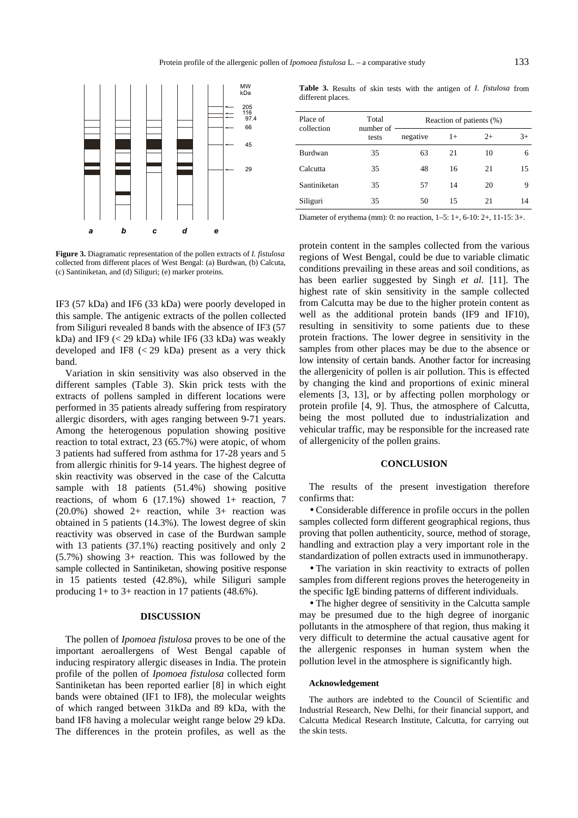<span id="page-2-0"></span>

**Figure 3.** Diagramatic representation of the pollen extracts of *I. fistulosa* collected from different places of West Bengal: (a) Burdwan, (b) Calcuta, (c) Santiniketan, and (d) Siliguri; (e) marker proteins.

IF3 (57 kDa) and IF6 (33 kDa) were poorly developed in this sample. The antigenic extracts of the pollen collected from Siliguri revealed 8 bands with the absence of IF3 (57 kDa) and IF9  $(< 29$  kDa) while IF6  $(33$  kDa) was weakly developed and IF8  $(< 29$  kDa) present as a very thick band.

Variation in skin sensitivity was also observed in the different samples (Table 3). Skin prick tests with the extracts of pollens sampled in different locations were performed in 35 patients already suffering from respiratory allergic disorders, with ages ranging between 9-71 years. Among the heterogenous population showing positive reaction to total extract, 23 (65.7%) were atopic, of whom 3 patients had suffered from asthma for 17-28 years and 5 from allergic rhinitis for 9-14 years. The highest degree of skin reactivity was observed in the case of the Calcutta sample with 18 patients (51.4%) showing positive reactions, of whom  $6$  (17.1%) showed 1+ reaction, 7 (20.0%) showed 2+ reaction, while 3+ reaction was obtained in 5 patients (14.3%). The lowest degree of skin reactivity was observed in case of the Burdwan sample with 13 patients (37.1%) reacting positively and only 2 (5.7%) showing 3+ reaction. This was followed by the sample collected in Santiniketan, showing positive response in 15 patients tested (42.8%), while Siliguri sample producing  $1+$  to  $3+$  reaction in 17 patients (48.6%).

#### **DISCUSSION**

The pollen of *Ipomoea fistulosa* proves to be one of the important aeroallergens of West Bengal capable of inducing respiratory allergic diseases in India. The protein profile of the pollen of *Ipomoea fistulosa* collected form Santiniketan has been reported earlier [8] in which eight bands were obtained (IF1 to IF8), the molecular weights of which ranged between 31kDa and 89 kDa, with the band IF8 having a molecular weight range below 29 kDa. The differences in the protein profiles, as well as the

**Table 3.** Results of skin tests with the antigen of *I. fistulosa* from different places.

| Place of<br>collection | Total<br>number of<br>tests | Reaction of patients (%) |      |      |      |
|------------------------|-----------------------------|--------------------------|------|------|------|
|                        |                             | negative                 | $1+$ | $2+$ | $3+$ |
| Burdwan                | 35                          | 63                       | 21   | 10   | 6    |
| Calcutta               | 35                          | 48                       | 16   | 21   | 15   |
| Santiniketan           | 35                          | 57                       | 14   | 20   | 9    |
| Siliguri               | 35                          | 50                       | 15   | 21   | 14   |
|                        |                             |                          |      |      |      |

Diameter of erythema (mm): 0: no reaction, 1–5: 1+, 6-10: 2+, 11-15: 3+.

protein content in the samples collected from the various regions of West Bengal, could be due to variable climatic conditions prevailing in these areas and soil conditions, as has been earlier suggested by Singh *et al.* [11]. The highest rate of skin sensitivity in the sample collected from Calcutta may be due to the higher protein content as well as the additional protein bands (IF9 and IF10), resulting in sensitivity to some patients due to these protein fractions. The lower degree in sensitivity in the samples from other places may be due to the absence or low intensity of certain bands. Another factor for increasing the allergenicity of pollen is air pollution. This is effected by changing the kind and proportions of exinic mineral elements [3, 13], or by affecting pollen morphology or protein profile [4, 9]. Thus, the atmosphere of Calcutta, being the most polluted due to industrialization and vehicular traffic, may be responsible for the increased rate of allergenicity of the pollen grains.

#### **CONCLUSION**

The results of the present investigation therefore confirms that:

• Considerable difference in profile occurs in the pollen samples collected form different geographical regions, thus proving that pollen authenticity, source, method of storage, handling and extraction play a very important role in the standardization of pollen extracts used in immunotherapy.

• The variation in skin reactivity to extracts of pollen samples from different regions proves the heterogeneity in the specific IgE binding patterns of different individuals.

• The higher degree of sensitivity in the Calcutta sample may be presumed due to the high degree of inorganic pollutants in the atmosphere of that region, thus making it very difficult to determine the actual causative agent for the allergenic responses in human system when the pollution level in the atmosphere is significantly high.

#### **Acknowledgement**

The authors are indebted to the Council of Scientific and Industrial Research, New Delhi, for their financial support, and Calcutta Medical Research Institute, Calcutta, for carrying out the skin tests.